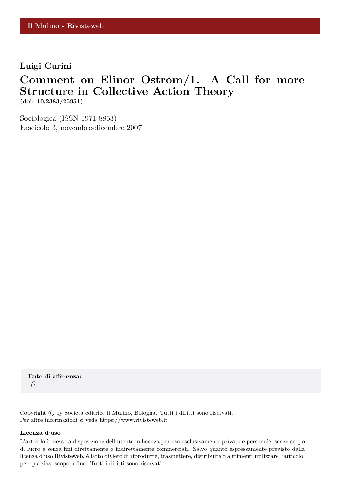### **Luigi Curini**

### **Comment on Elinor Ostrom/1. A Call for more Structure in Collective Action Theory (doi: 10.2383/25951)**

Sociologica (ISSN 1971-8853) Fascicolo 3, novembre-dicembre 2007

**Ente di afferenza:** *()*

Copyright © by Società editrice il Mulino, Bologna. Tutti i diritti sono riservati. Per altre informazioni si veda https://www.rivisteweb.it

#### **Licenza d'uso**

L'articolo è messo a disposizione dell'utente in licenza per uso esclusivamente privato e personale, senza scopo di lucro e senza fini direttamente o indirettamente commerciali. Salvo quanto espressamente previsto dalla licenza d'uso Rivisteweb, è fatto divieto di riprodurre, trasmettere, distribuire o altrimenti utilizzare l'articolo, per qualsiasi scopo o fine. Tutti i diritti sono riservati.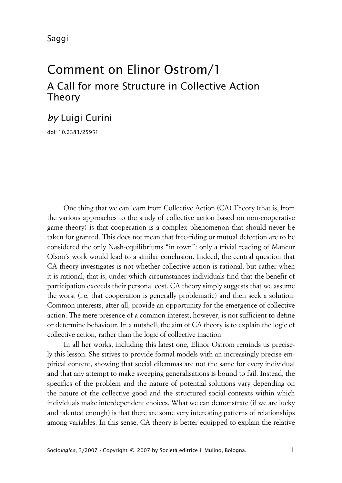# Comment on Elinor Ostrom/1 A Call for more Structure in Collective Action Theory

## *by* Luigi Curini

doi: 10.2383/25951

One thing that we can learn from Collective Action (CA) Theory (that is, from the various approaches to the study of collective action based on non-cooperative game theory) is that cooperation is a complex phenomenon that should never be taken for granted. This does not mean that free-riding or mutual defection are to be considered the only Nash-equilibriums "in town": only a trivial reading of Mancur Olson's work would lead to a similar conclusion. Indeed, the central question that CA theory investigates is not whether collective action is rational, but rather when it is rational, that is, under which circumstances individuals find that the benefit of participation exceeds their personal cost. CA theory simply suggests that we assume the worst (i.e. that cooperation is generally problematic) and then seek a solution. Common interests, after all, provide an opportunity for the emergence of collective action. The mere presence of a common interest, however, is not sufficient to define or determine behaviour. In a nutshell, the aim of CA theory is to explain the logic of collective action, rather than the logic of collective inaction.

In all her works, including this latest one, Elinor Ostrom reminds us precisely this lesson. She strives to provide formal models with an increasingly precise empirical content, showing that social dilemmas are not the same for every individual and that any attempt to make sweeping generalisations is bound to fail. Instead, the specifics of the problem and the nature of potential solutions vary depending on the nature of the collective good and the structured social contexts within which individuals make interdependent choices. What we can demonstrate (if we are lucky and talented enough) is that there are some very interesting patterns of relationships among variables. In this sense, CA theory is better equipped to explain the relative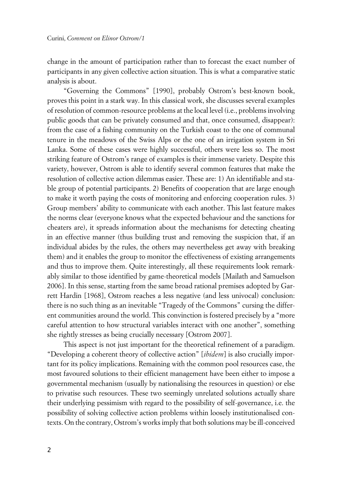change in the amount of participation rather than to forecast the exact number of participants in any given collective action situation. This is what a comparative static analysis is about.

"Governing the Commons" [1990], probably Ostrom's best-known book, proves this point in a stark way. In this classical work, she discusses several examples of resolution of common-resource problems at the local level (i.e., problems involving public goods that can be privately consumed and that, once consumed, disappear): from the case of a fishing community on the Turkish coast to the one of communal tenure in the meadows of the Swiss Alps or the one of an irrigation system in Sri Lanka. Some of these cases were highly successful, others were less so. The most striking feature of Ostrom's range of examples is their immense variety. Despite this variety, however, Ostrom is able to identify several common features that make the resolution of collective action dilemmas easier. These are: 1) An identifiable and stable group of potential participants. 2) Benefits of cooperation that are large enough to make it worth paying the costs of monitoring and enforcing cooperation rules. 3) Group members' ability to communicate with each another. This last feature makes the norms clear (everyone knows what the expected behaviour and the sanctions for cheaters are), it spreads information about the mechanisms for detecting cheating in an effective manner (thus building trust and removing the suspicion that, if an individual abides by the rules, the others may nevertheless get away with breaking them) and it enables the group to monitor the effectiveness of existing arrangements and thus to improve them. Quite interestingly, all these requirements look remarkably similar to those identified by game-theoretical models [Mailath and Samuelson 2006]. In this sense, starting from the same broad rational premises adopted by Garrett Hardin [1968], Ostrom reaches a less negative (and less univocal) conclusion: there is no such thing as an inevitable "Tragedy of the Commons" cursing the different communities around the world. This convinction is fostered precisely by a "more careful attention to how structural variables interact with one another", something she rightly stresses as being crucially necessary [Ostrom 2007].

This aspect is not just important for the theoretical refinement of a paradigm. "Developing a coherent theory of collective action" [*ibidem*] is also crucially important for its policy implications. Remaining with the common pool resources case, the most favoured solutions to their efficient management have been either to impose a governmental mechanism (usually by nationalising the resources in question) or else to privatise such resources. These two seemingly unrelated solutions actually share their underlying pessimism with regard to the possibility of self-governance, i.e. the possibility of solving collective action problems within loosely institutionalised contexts. On the contrary, Ostrom's works imply that both solutions may be ill-conceived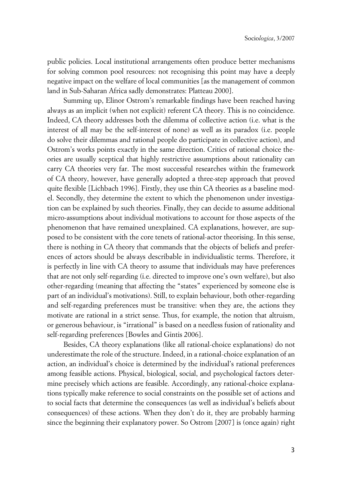public policies. Local institutional arrangements often produce better mechanisms for solving common pool resources: not recognising this point may have a deeply negative impact on the welfare of local communities [as the management of common land in Sub-Saharan Africa sadly demonstrates: Platteau 2000].

Summing up, Elinor Ostrom's remarkable findings have been reached having always as an implicit (when not explicit) referent CA theory. This is no coincidence. Indeed, CA theory addresses both the dilemma of collective action (i.e. what is the interest of all may be the self-interest of none) as well as its paradox (i.e. people do solve their dilemmas and rational people do participate in collective action), and Ostrom's works points exactly in the same direction. Critics of rational choice theories are usually sceptical that highly restrictive assumptions about rationality can carry CA theories very far. The most successful researches within the framework of CA theory, however, have generally adopted a three-step approach that proved quite flexible [Lichbach 1996]. Firstly, they use thin CA theories as a baseline model. Secondly, they determine the extent to which the phenomenon under investigation can be explained by such theories. Finally, they can decide to assume additional micro-assumptions about individual motivations to account for those aspects of the phenomenon that have remained unexplained. CA explanations, however, are supposed to be consistent with the core tenets of rational-actor theorising. In this sense, there is nothing in CA theory that commands that the objects of beliefs and preferences of actors should be always describable in individualistic terms. Therefore, it is perfectly in line with CA theory to assume that individuals may have preferences that are not only self-regarding (i.e. directed to improve one's own welfare), but also other-regarding (meaning that affecting the "states" experienced by someone else is part of an individual's motivations). Still, to explain behaviour, both other-regarding and self-regarding preferences must be transitive: when they are, the actions they motivate are rational in a strict sense. Thus, for example, the notion that altruism, or generous behaviour, is "irrational" is based on a needless fusion of rationality and self-regarding preferences [Bowles and Gintis 2006].

Besides, CA theory explanations (like all rational-choice explanations) do not underestimate the role of the structure. Indeed, in a rational-choice explanation of an action, an individual's choice is determined by the individual's rational preferences among feasible actions. Physical, biological, social, and psychological factors determine precisely which actions are feasible. Accordingly, any rational-choice explanations typically make reference to social constraints on the possible set of actions and to social facts that determine the consequences (as well as individual's beliefs about consequences) of these actions. When they don't do it, they are probably harming since the beginning their explanatory power. So Ostrom [2007] is (once again) right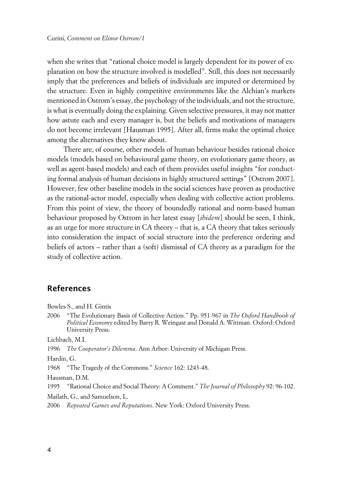when she writes that "rational choice model is largely dependent for its power of explanation on how the structure involved is modelled". Still, this does not necessarily imply that the preferences and beliefs of individuals are imputed or determined by the structure. Even in highly competitive environments like the Alchian's markets mentioned in Ostrom's essay, the psychology of the individuals, and not the structure, is what is eventually doing the explaining. Given selective pressures, it may not matter how astute each and every manager is, but the beliefs and motivations of managers do not become irrelevant [Hausman 1995]. After all, firms make the optimal choice among the alternatives they know about.

There are, of course, other models of human behaviour besides rational choice models (models based on behavioural game theory, on evolutionary game theory, as well as agent-based models) and each of them provides useful insights "for conducting formal analysis of human decisions in highly structured settings" [Ostrom 2007]. However, few other baseline models in the social sciences have proven as productive as the rational-actor model, especially when dealing with collective action problems. From this point of view, the theory of boundedly rational and norm-based human behaviour proposed by Ostrom in her latest essay [*ibidem*] should be seen, I think, as an urge for more structure in CA theory – that is, a CA theory that takes seriously into consideration the impact of social structure into the preference ordering and beliefs of actors – rather than a (soft) dismissal of CA theory as a paradigm for the study of collective action.

### **References**

Bowles S., and H. Gintis

2006 "The Evolutionary Basis of Collective Action." Pp. 951-967 in *The Oxford Handbook of Political Economy* edited by Barry R. Weingast and Donald A. Wittman. Oxford: Oxford University Press.

Lichbach, M.I.

1996 *The Cooperator's Dilemma*. Ann Arbor: University of Michigan Press.

Hardin, G.

1968 "The Tragedy of the Commons." *Science* 162: 1243-48.

Hausman, D.M.

1995 "Rational Choice and Social Theory: A Comment." *The Journal of Philosophy* 92: 96-102.

Mailath, G., and Samuelson, L.

2006 *Repeated Games and Reputations*. New York: Oxford University Press.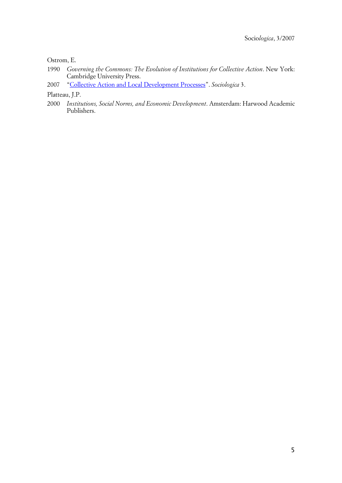#### Ostrom, E.

- 1990 *Governing the Commons: The Evolution of Institutions for Collective Action*. New York: Cambridge University Press.
- 2007 ["Collective Action and Local Development Processes"](http://www.sociologica.mulino.it/doi/10.2383/25950). *Sociologica* 3.

Platteau, J.P.

2000 *Institutions, Social Norms, and Economic Development*. Amsterdam: Harwood Academic Publishers.